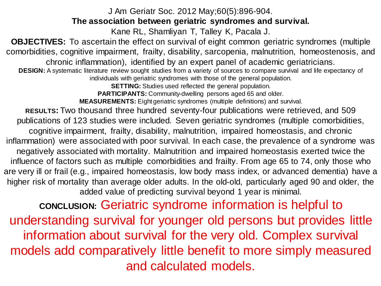## J Am Geriatr Soc. 2012 May;60(5):896-904.

## **The association between geriatric syndromes and survival.**

Kane RL, Shamliyan T, Talley K, Pacala J.

**OBJECTIVES:** To ascertain the effect on survival of eight common geriatric syndromes (multiple comorbidities, cognitive impairment, frailty, disability, sarcopenia, malnutrition, homeostenosis, and chronic inflammation), identified by an expert panel of academic geriatricians.

**DESIGN:** A systematic literature review sought studies from a variety of sources to compare survival and life expectancy of individuals with geriatric syndromes with those of the general population.

**SETTING:** Studies used reflected the general population.

**PARTICIPANTS: Community-dwelling persons aged 65 and older.** 

**MEASUREMENTS:** Eight geriatric syndromes (multiple definitions) and survival.

**RESULTS:** Two thousand three hundred seventy-four publications were retrieved, and 509 publications of 123 studies were included. Seven geriatric syndromes (multiple comorbidities, cognitive impairment, frailty, disability, malnutrition, impaired homeostasis, and chronic inflammation) were associated with poor survival. In each case, the prevalence of a syndrome was negatively associated with mortality. Malnutrition and impaired homeostasis exerted twice the influence of factors such as multiple comorbidities and frailty. From age 65 to 74, only those who are very ill or frail (e.g., impaired homeostasis, low body mass index, or advanced dementia) have a higher risk of mortality than average older adults. In the old-old, particularly aged 90 and older, the added value of predicting survival beyond 1 year is minimal.

**CONCLUSION:** Geriatric syndrome information is helpful to understanding survival for younger old persons but provides little information about survival for the very old. Complex survival models add comparatively little benefit to more simply measured and calculated models.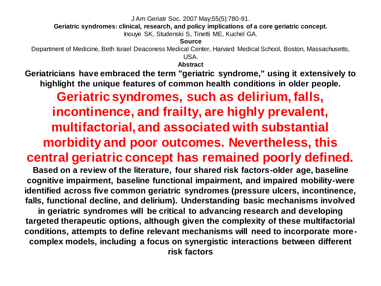J Am Geriatr Soc. 2007 May;55(5):780-91.

**Geriatric syndromes: clinical, research, and policy implications of a core geriatric concept.**

Inouye SK, Studenski S, Tinetti ME, Kuchel GA.

**Source**

Department of Medicine, Beth Israel Deaconess Medical Center, Harvard Medical School, Boston, Massachusetts, USA.

**Abstract**

**Geriatricians have embraced the term "geriatric syndrome," using it extensively to highlight the unique features of common health conditions in older people.** 

**Geriatric syndromes, such as delirium, falls, incontinence, and frailty, are highly prevalent, multifactorial, and associated with substantial morbidity and poor outcomes. Nevertheless, this central geriatric concept has remained poorly defined.** 

**Based on a review of the literature, four shared risk factors-older age, baseline cognitive impairment, baseline functional impairment, and impaired mobility-were identified across five common geriatric syndromes (pressure ulcers, incontinence, falls, functional decline, and delirium). Understanding basic mechanisms involved in geriatric syndromes will be critical to advancing research and developing targeted therapeutic options, although given the complexity of these multifactorial conditions, attempts to define relevant mechanisms will need to incorporate morecomplex models, including a focus on synergistic interactions between different risk factors**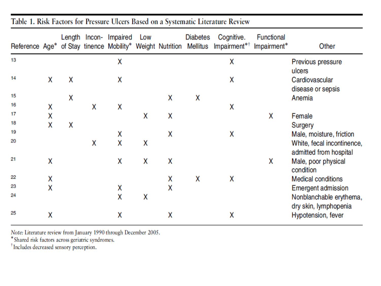|    |   |   |   | Length Incon- Impaired Low |   |   | <b>Diabetes</b> | Cognitive.<br>Reference Age* of Stay tinence Mobility* Weight Nutrition Mellitus Impairment* <sup>†</sup> | Functional<br>Impairment* | Other                                                |
|----|---|---|---|----------------------------|---|---|-----------------|-----------------------------------------------------------------------------------------------------------|---------------------------|------------------------------------------------------|
| 13 |   |   |   | Χ                          |   |   |                 | Χ                                                                                                         |                           | Previous pressure<br>ulcers                          |
| 14 | X | Χ |   | χ                          |   |   |                 | Χ                                                                                                         |                           | Cardiovascular<br>disease or sepsis                  |
| 15 |   | X |   |                            |   | x | x               |                                                                                                           |                           | Anemia                                               |
| 16 | Χ |   | X | Χ                          |   |   |                 | Χ                                                                                                         |                           |                                                      |
| 17 | X |   |   |                            | χ | X |                 |                                                                                                           | x                         | Female                                               |
| 18 | X | Χ |   |                            |   |   |                 |                                                                                                           |                           | Surgery                                              |
| 19 |   |   |   | Χ                          |   | x |                 | X                                                                                                         |                           | Male, moisture, friction                             |
| 20 |   |   | X | Χ                          | χ |   |                 |                                                                                                           |                           | White, fecal incontinence,<br>admitted from hospital |
| 21 | Χ |   |   | Χ                          | x | Χ |                 |                                                                                                           | x                         | Male, poor physical<br>condition                     |
| 22 | Χ |   |   |                            |   | X | X               | x                                                                                                         |                           | <b>Medical conditions</b>                            |
| 23 | X |   |   | Χ                          |   | Χ |                 |                                                                                                           |                           | <b>Emergent admission</b>                            |
| 24 |   |   |   | X                          | Χ |   |                 |                                                                                                           |                           | Nonblanchable erythema,<br>dry skin, lymphopenia     |
| 25 | Χ |   |   | Χ                          |   | Χ |                 | Χ                                                                                                         |                           | Hypotension, fever                                   |

Table 1. Risk Factors for Pressure Ulcers Based on a Systematic Literature Review

Note: Literature review from January 1990 through December 2005.<br>\* Shared risk factors across geriatric syndromes.

<sup>†</sup>Includes decreased sensory perception.